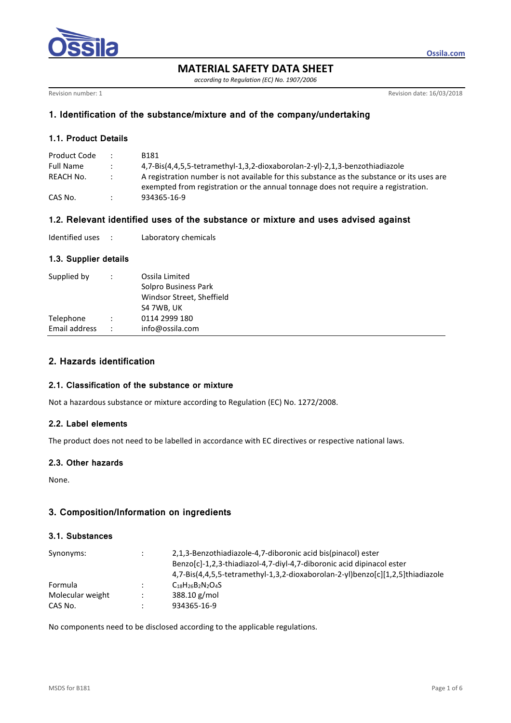

**MATERIAL SAFETY DATA SHEET** 

*according to Regulation (EC) No. 1907/2006* 

Revision number: 1 **Revision date: 16/03/2018** 

**Ossila.com**

## **1. Identification of the substance/mixture and of the company/undertaking**

## **1.1. Product Details**

| Product Code     |                      | B181                                                                                       |
|------------------|----------------------|--------------------------------------------------------------------------------------------|
| <b>Full Name</b> | $\ddot{\phantom{1}}$ | 4,7-Bis(4,4,5,5-tetramethyl-1,3,2-dioxaborolan-2-yl)-2,1,3-benzothiadiazole                |
| REACH No.        | $\mathbb{R}^n$       | A registration number is not available for this substance as the substance or its uses are |
|                  |                      | exempted from registration or the annual tonnage does not require a registration.          |
| CAS No.          |                      | 934365-16-9                                                                                |

# **1.2. Relevant identified uses of the substance or mixture and uses advised against**

## **1.3. Supplier details**

| Supplied by   |                | Ossila Limited<br>Solpro Business Park<br>Windsor Street, Sheffield<br>S4 7WB, UK |
|---------------|----------------|-----------------------------------------------------------------------------------|
| Telephone     | $\mathbb{R}^2$ | 0114 2999 180                                                                     |
| Email address |                | info@ossila.com                                                                   |

# **2. Hazards identification**

## **2.1. Classification of the substance or mixture**

Not a hazardous substance or mixture according to Regulation (EC) No. 1272/2008.

## **2.2. Label elements**

The product does not need to be labelled in accordance with EC directives or respective national laws.

## **2.3. Other hazards**

None.

# **3. Composition/Information on ingredients**

## **3.1. Substances**

| Synonyms:        | 2,1,3-Benzothiadiazole-4,7-diboronic acid bis(pinacol) ester<br>Benzo[c]-1,2,3-thiadiazol-4,7-diyl-4,7-diboronic acid dipinacol ester<br>4,7-Bis(4,4,5,5-tetramethyl-1,3,2-dioxaborolan-2-yl)benzo[c][1,2,5]thiadiazole |  |  |  |
|------------------|-------------------------------------------------------------------------------------------------------------------------------------------------------------------------------------------------------------------------|--|--|--|
| Formula          | $C_{18}H_{26}B_2N_2O_4S$                                                                                                                                                                                                |  |  |  |
| Molecular weight | 388.10 g/mol                                                                                                                                                                                                            |  |  |  |
| CAS No.          | 934365-16-9                                                                                                                                                                                                             |  |  |  |

No components need to be disclosed according to the applicable regulations.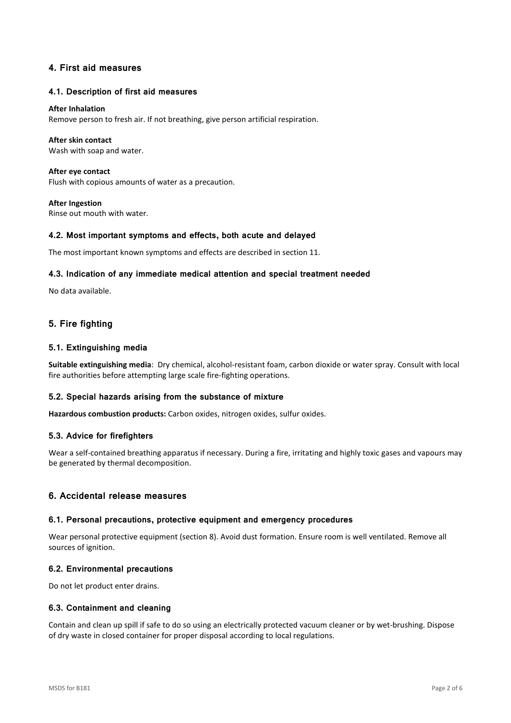## **4. First aid measures**

### **4.1. Description of first aid measures**

#### **After Inhalation**

Remove person to fresh air. If not breathing, give person artificial respiration.

### **After skin contact**

Wash with soap and water.

**After eye contact**  Flush with copious amounts of water as a precaution.

**After Ingestion**  Rinse out mouth with water.

### **4.2. Most important symptoms and effects, both acute and delayed**

The most important known symptoms and effects are described in section 11.

### **4.3. Indication of any immediate medical attention and special treatment needed**

No data available.

## **5. Fire fighting**

## **5.1. Extinguishing media**

**Suitable extinguishing media**: Dry chemical, alcohol-resistant foam, carbon dioxide or water spray. Consult with local fire authorities before attempting large scale fire-fighting operations.

## **5.2. Special hazards arising from the substance of mixture**

**Hazardous combustion products:** Carbon oxides, nitrogen oxides, sulfur oxides.

#### **5.3. Advice for firefighters**

Wear a self-contained breathing apparatus if necessary. During a fire, irritating and highly toxic gases and vapours may be generated by thermal decomposition.

## **6. Accidental release measures**

#### **6.1. Personal precautions, protective equipment and emergency procedures**

Wear personal protective equipment (section 8). Avoid dust formation. Ensure room is well ventilated. Remove all sources of ignition.

#### **6.2. Environmental precautions**

Do not let product enter drains.

### **6.3. Containment and cleaning**

Contain and clean up spill if safe to do so using an electrically protected vacuum cleaner or by wet-brushing. Dispose of dry waste in closed container for proper disposal according to local regulations.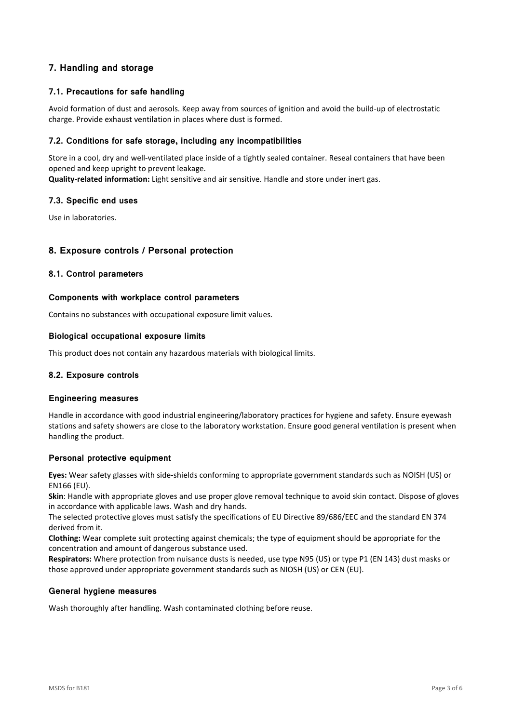# **7. Handling and storage**

## **7.1. Precautions for safe handling**

Avoid formation of dust and aerosols. Keep away from sources of ignition and avoid the build-up of electrostatic charge. Provide exhaust ventilation in places where dust is formed.

## **7.2. Conditions for safe storage, including any incompatibilities**

Store in a cool, dry and well-ventilated place inside of a tightly sealed container. Reseal containers that have been opened and keep upright to prevent leakage.

**Quality-related information:** Light sensitive and air sensitive. Handle and store under inert gas.

## **7.3. Specific end uses**

Use in laboratories.

## **8. Exposure controls / Personal protection**

## **8.1. Control parameters**

### **Components with workplace control parameters**

Contains no substances with occupational exposure limit values.

## **Biological occupational exposure limits**

This product does not contain any hazardous materials with biological limits.

## **8.2. Exposure controls**

## **Engineering measures**

Handle in accordance with good industrial engineering/laboratory practices for hygiene and safety. Ensure eyewash stations and safety showers are close to the laboratory workstation. Ensure good general ventilation is present when handling the product.

## **Personal protective equipment**

**Eyes:** Wear safety glasses with side-shields conforming to appropriate government standards such as NOISH (US) or EN166 (EU).

**Skin**: Handle with appropriate gloves and use proper glove removal technique to avoid skin contact. Dispose of gloves in accordance with applicable laws. Wash and dry hands.

The selected protective gloves must satisfy the specifications of EU Directive 89/686/EEC and the standard EN 374 derived from it.

**Clothing:** Wear complete suit protecting against chemicals; the type of equipment should be appropriate for the concentration and amount of dangerous substance used.

**Respirators:** Where protection from nuisance dusts is needed, use type N95 (US) or type P1 (EN 143) dust masks or those approved under appropriate government standards such as NIOSH (US) or CEN (EU).

#### **General hygiene measures**

Wash thoroughly after handling. Wash contaminated clothing before reuse.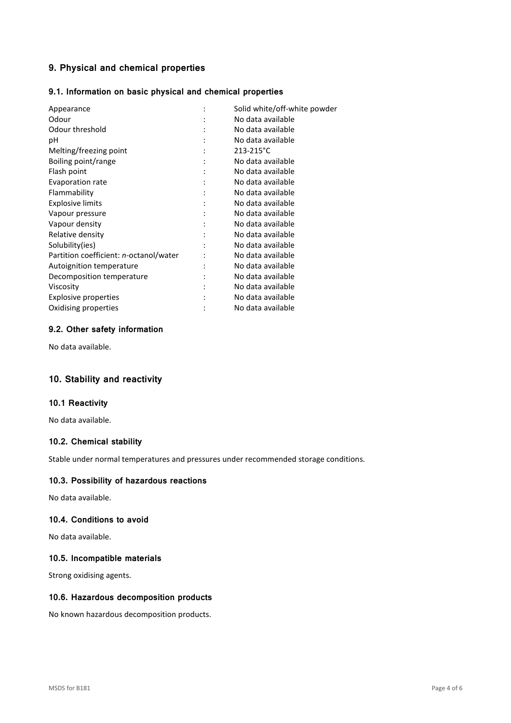# **9. Physical and chemical properties**

## **9.1. Information on basic physical and chemical properties**

| Appearance                             | $\ddot{\cdot}$ | Solid white/off-white powder |  |
|----------------------------------------|----------------|------------------------------|--|
| Odour                                  |                | No data available            |  |
| Odour threshold                        |                | No data available            |  |
| рH                                     |                | No data available            |  |
| Melting/freezing point                 |                | 213-215°C                    |  |
| Boiling point/range                    |                | No data available            |  |
| Flash point                            | $\ddot{\cdot}$ | No data available            |  |
| Evaporation rate                       |                | No data available            |  |
| Flammability                           | :              | No data available            |  |
| <b>Explosive limits</b>                |                | No data available            |  |
| Vapour pressure                        |                | No data available            |  |
| Vapour density                         |                | No data available            |  |
| Relative density                       |                | No data available            |  |
| Solubility(ies)                        |                | No data available            |  |
| Partition coefficient: n-octanol/water |                | No data available            |  |
| Autoignition temperature               |                | No data available            |  |
| Decomposition temperature              |                | No data available            |  |
| Viscosity                              |                | No data available            |  |
| Explosive properties                   |                | No data available            |  |
| Oxidising properties                   |                | No data available            |  |

## **9.2. Other safety information**

No data available.

# **10. Stability and reactivity**

## **10.1 Reactivity**

No data available.

## **10.2. Chemical stability**

Stable under normal temperatures and pressures under recommended storage conditions.

## **10.3. Possibility of hazardous reactions**

No data available.

## **10.4. Conditions to avoid**

No data available.

## **10.5. Incompatible materials**

Strong oxidising agents.

## **10.6. Hazardous decomposition products**

No known hazardous decomposition products.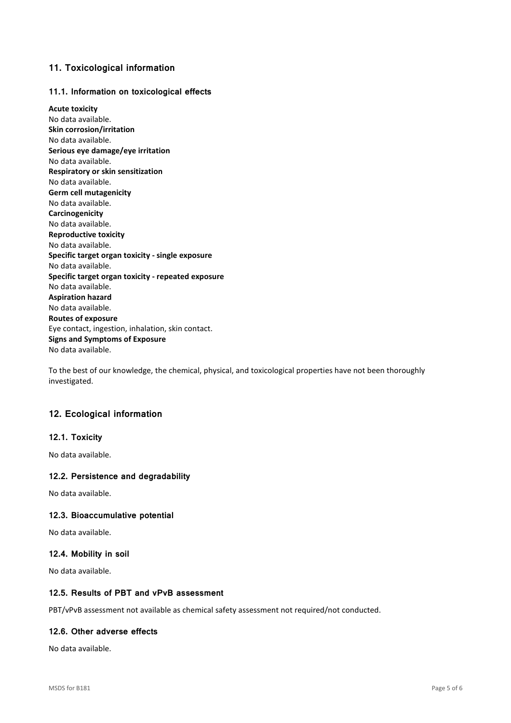## **11. Toxicological information**

## **11.1. Information on toxicological effects**

**Acute toxicity**  No data available. **Skin corrosion/irritation**  No data available. **Serious eye damage/eye irritation**  No data available. **Respiratory or skin sensitization**  No data available. **Germ cell mutagenicity**  No data available. **Carcinogenicity**  No data available. **Reproductive toxicity**  No data available. **Specific target organ toxicity - single exposure**  No data available. **Specific target organ toxicity - repeated exposure**  No data available. **Aspiration hazard**  No data available. **Routes of exposure**  Eye contact, ingestion, inhalation, skin contact. **Signs and Symptoms of Exposure**  No data available.

To the best of our knowledge, the chemical, physical, and toxicological properties have not been thoroughly investigated.

## **12. Ecological information**

## **12.1. Toxicity**

No data available.

## **12.2. Persistence and degradability**

No data available.

## **12.3. Bioaccumulative potential**

No data available.

## **12.4. Mobility in soil**

No data available.

## **12.5. Results of PBT and vPvB assessment**

PBT/vPvB assessment not available as chemical safety assessment not required/not conducted.

## **12.6. Other adverse effects**

No data available.